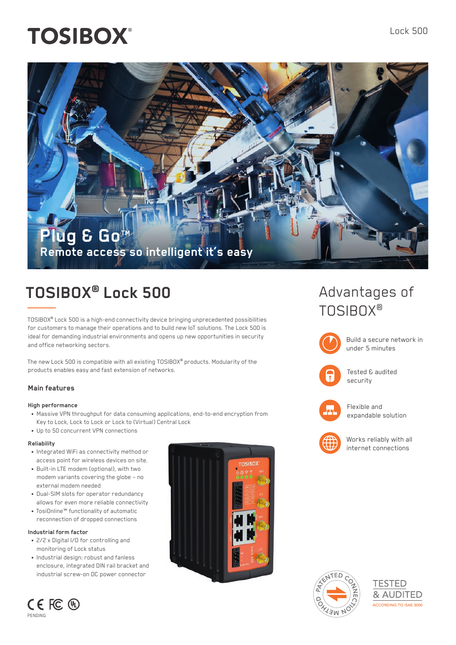# **TOSIBOX®**

# **Plug & GoTM Remote access so intelligent it's easy**

# **TOSIBOX® Lock 500**

TOSIBOX® Lock 500 is a high-end connectivity device bringing unprecedented possibilities for customers to manage their operations and to build new IoT solutions. The Lock 500 is ideal for demanding industrial environments and opens up new opportunities in security and office networking sectors.

The new Lock 500 is compatible with all existing TOSIBOX® products. Modularity of the products enables easy and fast extension of networks.

### **Main features**

#### **High performance**

- Massive VPN throughput for data consuming applications, end-to-end encryption from Key to Lock, Lock to Lock or Lock to (Virtual) Central Lock
- Up to 50 concurrent VPN connections

#### **Reliability**

- Integrated WiFi as connectivity method or access point for wireless devices on site.
- Built-in LTE modem (optional), with two modem variants covering the globe – no external modem needed
- Dual-SIM slots for operator redundancy allows for even more reliable connectivity
- TosiOnline™ functionality of automatic reconnection of dropped connections

### **Industrial form factor**

- 2/2 x Digital I/O for controlling and monitoring of Lock status
- Industrial design: robust and fanless enclosure, integrated DIN rail bracket and industrial screw-on DC power connector



# Advantages of TOSIBOX®